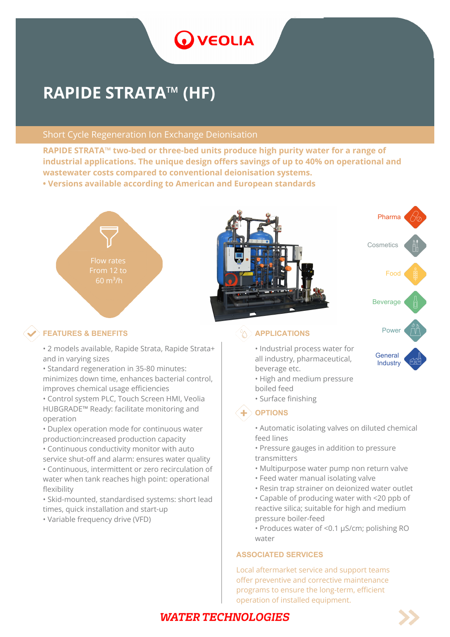# **O** VEOLIA

# **RAPIDE STRATA™ (HF)**

### Short Cycle Regeneration Ion Exchange Deionisation

**RAPIDE STRATA™ two-bed or three-bed units produce high purity water for a range of industrial applications. The unique design offers savings of up to 40% on operational and wastewater costs compared to conventional deionisation systems. • Versions available according to American and European standards**

Flow rates From 12 to



## **Power TEATURES & BENEFITS APPLICATIONS**

• 2 models available, Rapide Strata, Rapide Strata+ and in varying sizes

• Standard regeneration in 35-80 minutes: minimizes down time, enhances bacterial control, improves chemical usage efficiencies

• Control system PLC, Touch Screen HMI, Veolia HUBGRADE™ Ready: facilitate monitoring and operation

• Duplex operation mode for continuous water production:increased production capacity

- Continuous conductivity monitor with auto service shut-off and alarm: ensures water quality
- Continuous, intermittent or zero recirculation of water when tank reaches high point: operational flexibility

• Skid-mounted, standardised systems: short lead times, quick installation and start-up

• Variable frequency drive (VFD)

• Industrial process water for all industry, pharmaceutical, beverage etc.

- High and medium pressure boiled feed
- Surface finishing

### $\textbf{+}$  OPTIONS

- Automatic isolating valves on diluted chemical feed lines
- Pressure gauges in addition to pressure transmitters
- Multipurpose water pump non return valve
- Feed water manual isolating valve
- Resin trap strainer on deionized water outlet
- Capable of producing water with <20 ppb of reactive silica; suitable for high and medium pressure boiler-feed
- Produces water of <0.1 μS/cm; polishing RO water

#### **ASSOCIATED SERVICES**

Local aftermarket service and support teams offer preventive and corrective maintenance programs to ensure the long-term, efficient operation of installed equipment.

# **WATER TECHNOLOGIES**



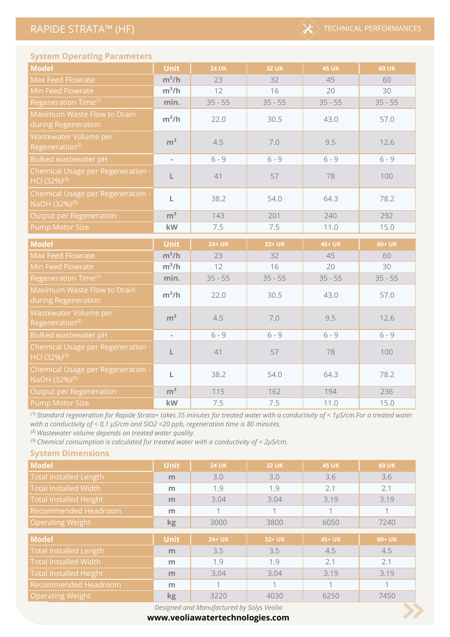

#### **System Operating Parameters**

| <b>Model</b>                                                   | <b>Unit</b>    | <b>24 UK</b> | <b>32 UK</b> | <b>45 UK</b> | <b>60 UK</b> |
|----------------------------------------------------------------|----------------|--------------|--------------|--------------|--------------|
| <b>Max Feed Flowrate</b>                                       | $m^3/h$        | 23           | 32           | 45           | 60           |
| Min Feed Flowrate                                              | $m^3/h$        | 12           | 16           | 20           | 30           |
| Regeneration Time <sup>(1)</sup>                               | min.           | $35 - 55$    | $35 - 55$    | $35 - 55$    | $35 - 55$    |
| Maximum Waste Flow to Drain<br>during Regeneration             | $m^3/h$        | 22.0         | 30.5         | 43.0         | 57.0         |
| Wastewater Volume per<br>Regeneration <sup>(2)</sup>           | m <sup>3</sup> | 4.5          | 7.0          | 9.5          | 12.6         |
| Bulked wastewater pH                                           | ÷,             | $6 - 9$      | $6 - 9$      | $6 - 9$      | $6 - 9$      |
| Chemical Usage per Regeneration -<br>HCl (32%) <sup>(3)</sup>  | L              | 41           | 57           | 78           | 100          |
| Chemical Usage per Regeneration -<br>NaOH (32%) <sup>(3)</sup> | L              | 38.2         | 54.0         | 64.3         | 78.2         |
| <b>Output per Regeneration</b>                                 | m <sup>3</sup> | 143          | 201          | 240          | 292          |
| <b>Pump Motor Size</b>                                         | kW             | 7.5          | 7.5          | 11.0         | 15.0         |
|                                                                |                |              |              |              |              |
| <b>Model</b>                                                   | <b>Unit</b>    | 24+ UK       | 32+ UK       | 45+ UK       | 60+ UK       |
| <b>Max Feed Flowrate</b>                                       | $m^3/h$        | 23           | 32           | 45           | 60           |
| Min Feed Flowrate                                              | $m^3/h$        | 12           | 16           | 20           | 30           |
| Regeneration Time <sup>(1)</sup>                               | min.           | $35 - 55$    | $35 - 55$    | $35 - 55$    | $35 - 55$    |
| Maximum Waste Flow to Drain<br>during Regeneration             | $m^3/h$        | 22.0         | 30.5         | 43.0         | 57.0         |
| Wastewater Volume per<br>Regeneration <sup>(2)</sup>           | m <sup>3</sup> | 4.5          | 7.0          | 9.5          | 12.6         |
| Bulked wastewater pH                                           | ÷,             | $6 - 9$      | $6 - 9$      | $6 - 9$      | $6 - 9$      |
| Chemical Usage per Regeneration -<br>HCI (32%) <sup>(3)</sup>  | L              | 41           | 57           | 78           | 100          |
| Chemical Usage per Regeneration -<br>NaOH (32%) <sup>(3)</sup> | L              | 38.2         | 54.0         | 64.3         | 78.2         |
| <b>Output per Regeneration</b>                                 | m <sup>3</sup> | 115          | 162          | 194          | 236          |

<sup>(1)</sup> Standard regeneration for Rapide Strata+ takes 35 minutes for treated water with a conductivity of < 1μS/cm.For a treated water *with a conductivity of < 0,1 μS/cm and SiO2 <20 ppb, regeneration time is 80 minutes.*

*⁽²⁾ Wastewater volume depends on treated water quality.*

**System Dimensions**

<sup>(3)</sup> Chemical consumption is calculated for treated water with a conductivity of < 2μS/cm.

| <b>Model</b>                  | <b>Unit</b> | <b>24 UK</b> | <b>32 UK</b> | <b>45 UK</b> | <b>60 UK</b> |  |
|-------------------------------|-------------|--------------|--------------|--------------|--------------|--|
| Total Installed Length        | m           | 3.0          | 3.0          | 3.6          | 3.6          |  |
| <b>Total Installed Width</b>  | m           | 1.9          | 1.9          | 2.1          | 2.1          |  |
| <b>Total Installed Height</b> | m           | 3.04         | 3.04         | 3.19         | 3.19         |  |
| Recommended Headroom          | m           |              |              |              |              |  |
| <b>Operating Weight</b>       | kg          | 3000         | 3800         | 6050         | 7240         |  |
|                               |             |              |              |              |              |  |
| <b>Model</b>                  | <b>Unit</b> | 24+ UK       | 32+ UK       | 45+ UK       | 60+ UK       |  |
| <b>Total Installed Length</b> | m           | 3.5          | 3.5          | 4.5          | 4.5          |  |
| <b>Total Installed Width</b>  | m           | 1.9          | 1.9          | 2.1          | 2.1          |  |
| <b>Total Installed Height</b> | m           | 3.04         | 3.04         | 3.19         | 3.19         |  |
| Recommended Headroom          | m           |              |              | 1            |              |  |
| <b>Operating Weight</b>       | kg          | 3220         | 4030         | 6250         | 7450         |  |

*Designed and Manufactured by Solys Veolia*